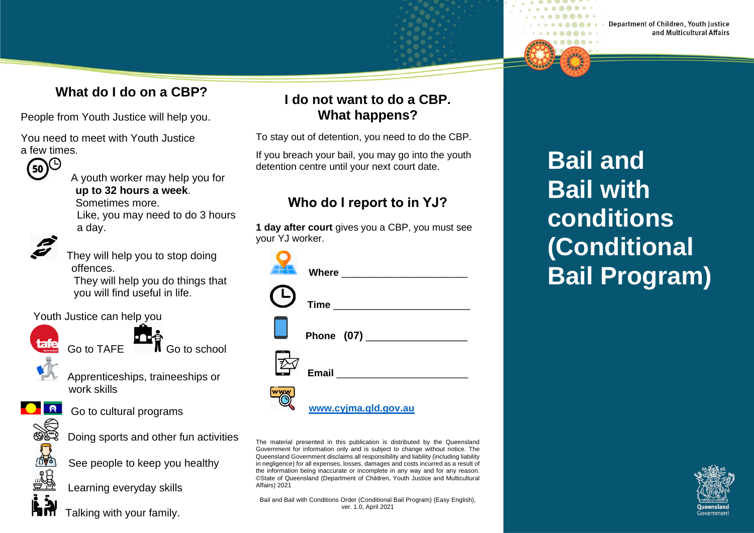### **What do I do on a CBP?**

People from Youth Justice will help you.

You need to meet with Youth Justice



 A youth worker may help you for **up to 32 hours a week**. Sometimes more.

 Like, you may need to do 3 hours a day.



 They will help you to stop doing offences.

They will help you do things that you will find useful in life.

#### Youth Justice can help you



**tafe** Go to TAFE **THE** Go to school



 Apprenticeships, traineeships or work skills



**C A** Go to cultural programs



**D**<br> **Doing sports and other fun activities** 

n<sup>o</sup> See people to keep you healthy<br> **Learning everyday skills**<br> Learning everyday skills

Learning everyday skills

Talking with your family.

### **I do not want to do a CBP. What happens?**

To stay out of detention, you need to do the CBP.

If you breach your bail, you may go into the youth detention centre until your next court date.

### **Who do I report to in YJ?**

**1 day after court** gives you a CBP, you must see your YJ worker.

| www.cyjma.gld.gov.au |
|----------------------|

The material presented in this publication is distributed by the Queensland Government for information only and is subject to change without notice. The Queensland Government disclaims all responsibility and liability (including liability in negligence) for all expenses, losses, damages and costs incurred as a result of the information being inaccurate or incomplete in any way and for any reason. ©State of Queensland (Department of Children, Youth Justice and Multicultural Affairs) 2021

Bail and Bail with Conditions Order (Conditional Bail Program) (Easy English), ver. 1.0, April 2021

**Bail and Bail with conditions (Conditional Bail Program)**